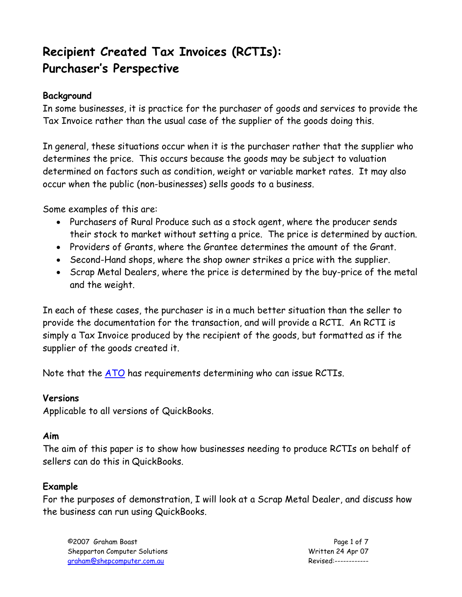# **Recipient Created Tax Invoices (RCTIs): Purchaser's Perspective**

## **Background**

In some businesses, it is practice for the purchaser of goods and services to provide the Tax Invoice rather than the usual case of the supplier of the goods doing this.

In general, these situations occur when it is the purchaser rather that the supplier who determines the price. This occurs because the goods may be subject to valuation determined on factors such as condition, weight or variable market rates. It may also occur when the public (non-businesses) sells goods to a business.

Some examples of this are:

- Purchasers of Rural Produce such as a stock agent, where the producer sends their stock to market without setting a price. The price is determined by auction.
- Providers of Grants, where the Grantee determines the amount of the Grant.
- Second-Hand shops, where the shop owner strikes a price with the supplier.
- Scrap Metal Dealers, where the price is determined by the buy-price of the metal and the weight.

In each of these cases, the purchaser is in a much better situation than the seller to provide the documentation for the transaction, and will provide a RCTI. An RCTI is simply a Tax Invoice produced by the recipient of the goods, but formatted as if the supplier of the goods created it.

Note that the [ATO](http://www.ato.gov.au/) has requirements determining who can issue RCTIs.

#### **Versions**

Applicable to all versions of QuickBooks.

#### **Aim**

The aim of this paper is to show how businesses needing to produce RCTIs on behalf of sellers can do this in QuickBooks.

## **Example**

For the purposes of demonstration, I will look at a Scrap Metal Dealer, and discuss how the business can run using QuickBooks.

©2007 Graham Boast Page 1 of 7 Shepparton Computer Solutions **Microsoft Computer Solutions** Written 24 Apr 07 graham@shepcomputer.com.au Revised:------------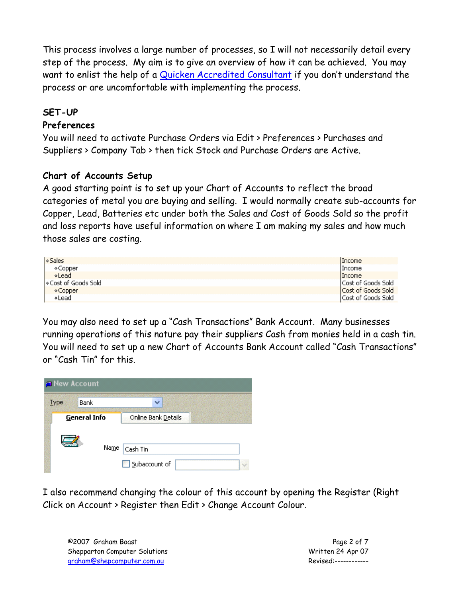This process involves a large number of processes, so I will not necessarily detail every step of the process. My aim is to give an overview of how it can be achieved. You may want to enlist the help of a [Quicken Accredited Consultant](http://www.quicken.com.au/Services/FindAnAccreditedPartner.aspx) if you don't understand the process or are uncomfortable with implementing the process.

## **SET-UP**

## **Preferences**

You will need to activate Purchase Orders via Edit > Preferences > Purchases and Suppliers > Company Tab > then tick Stock and Purchase Orders are Active.

## **Chart of Accounts Setup**

A good starting point is to set up your Chart of Accounts to reflect the broad categories of metal you are buying and selling. I would normally create sub-accounts for Copper, Lead, Batteries etc under both the Sales and Cost of Goods Sold so the profit and loss reports have useful information on where I am making my sales and how much those sales are costing.

| l⊗Sales              | <b>IIncome</b>             |
|----------------------|----------------------------|
| ∢Copper              | <b>IIncome</b>             |
| *Lead                | Income                     |
| l⊙Cost of Goods Sold | <b>ICost of Goods Sold</b> |
| ∢Copper              | <b>Cost of Goods Sold</b>  |
| ∢Lead                | Cost of Goods Sold         |

You may also need to set up a "Cash Transactions" Bank Account. Many businesses running operations of this nature pay their suppliers Cash from monies held in a cash tin. You will need to set up a new Chart of Accounts Bank Account called "Cash Transactions" or "Cash Tin" for this.



I also recommend changing the colour of this account by opening the Register (Right Click on Account > Register then Edit > Change Account Colour.

©2007 Graham Boast Page 2 of 7 Shepparton Computer Solutions Notifiant Computer Solutions Note that Minister Computer Solutions North Computer Solutions North Computer Solutions North Computer Solutions North Computer Solutions North Computer Solutions graham@shepcomputer.com.au Revised:------------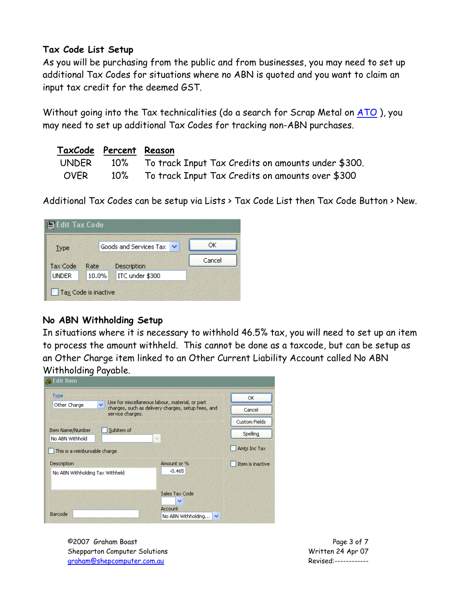#### **Tax Code List Setup**

As you will be purchasing from the public and from businesses, you may need to set up additional Tax Codes for situations where no ABN is quoted and you want to claim an input tax credit for the deemed GST.

Without going into the Tax technicalities (do a search for Scrap Metal on [ATO](http://www.ato.gov.au/)), you may need to set up additional Tax Codes for tracking non-ABN purchases.

| TaxCode Percent Reason |                                                              |
|------------------------|--------------------------------------------------------------|
|                        | UNDER 10% To track Input Tax Credits on amounts under \$300. |
|                        | OVER 10% To track Input Tax Credits on amounts over \$300    |

Additional Tax Codes can be setup via Lists > Tax Code List then Tax Code Button > New.

| Type            |       | Goods and Services Tax<br>v | ОК     |
|-----------------|-------|-----------------------------|--------|
| <b>Tax Code</b> | Rate  | Description                 | Cancel |
| <b>UNDER</b>    | 10.0% | ITC under \$300             |        |

## **No ABN Withholding Setup**

In situations where it is necessary to withhold 46.5% tax, you will need to set up an item to process the amount withheld. This cannot be done as a taxcode, but can be setup as an Other Charge item linked to an Other Current Liability Account called No ABN Withholding Payable.

| <b>Re</b> Edit Item             |                                                                                        |                                                 |                  |
|---------------------------------|----------------------------------------------------------------------------------------|-------------------------------------------------|------------------|
| Type                            |                                                                                        | Use for miscellaneous labour, material, or part | <b>OK</b>        |
| Other Charge                    | $\checkmark$<br>charges, such as delivery charges, setup fees, and<br>service charges. | Cancel                                          |                  |
|                                 |                                                                                        |                                                 | Custom Fields    |
| <b>Item Name/Number</b>         | Subitem of                                                                             |                                                 | Spelling         |
| No ABN Withhold                 |                                                                                        | $\sim$                                          |                  |
| This is a reimbursable charge   |                                                                                        |                                                 | Amts Inc Tax     |
| Description                     |                                                                                        | Amount or %                                     | Item is inactive |
| No ABN Withholding Tax Withheld |                                                                                        | $-0.465$                                        |                  |
|                                 |                                                                                        |                                                 |                  |
|                                 |                                                                                        | Sales Tax Code                                  |                  |
|                                 |                                                                                        | $\checkmark$                                    |                  |
|                                 |                                                                                        | <b>Account</b>                                  |                  |
| Barcode                         |                                                                                        | No ABN Withholding<br>v                         |                  |

©2007 Graham Boast Page 3 of 7 Shepparton Computer Solutions Notifiant Computer Solutions Note that Minister Computer Solutions North Computer Solutions North Computer Solutions North Computer Solutions North Computer Solutions North Computer Solutions graham@shepcomputer.com.au Revised:------------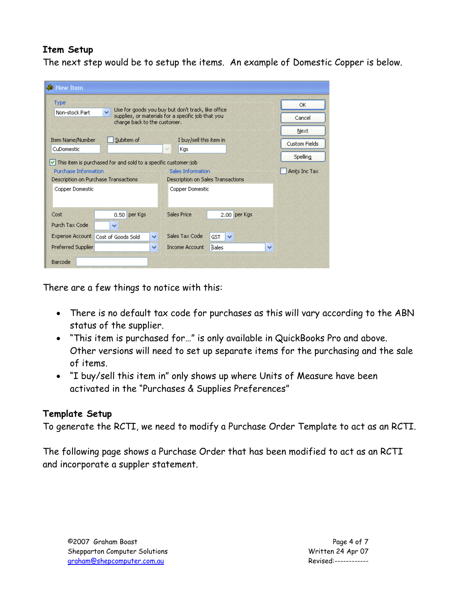# **Item Setup**

The next step would be to setup the items. An example of Domestic Copper is below.

| <b>Type</b>                 | $\checkmark$                                                           |              | Use for goods you buy but don't track, like office     |              |        | <b>OK</b>            |
|-----------------------------|------------------------------------------------------------------------|--------------|--------------------------------------------------------|--------------|--------|----------------------|
| Non-stock Part              | charge back to the customer.                                           |              | supplies, or materials for a specific job that you     |              | Cancel |                      |
|                             |                                                                        |              |                                                        |              |        | Next                 |
| Item Name/Number            | Subitem of                                                             |              | I buy/sell this item in                                |              |        | <b>Custom Fields</b> |
| CuDomestic                  |                                                                        |              | $\mathcal{A}$<br>Kgs                                   |              |        |                      |
|                             | $\vee$ This item is purchased for and sold to a specific customer: job |              |                                                        |              |        | Spelling             |
| <b>Purchase Information</b> |                                                                        |              |                                                        |              |        |                      |
|                             | Description on Purchase Transactions                                   |              | Sales Information<br>Description on Sales Transactions |              |        |                      |
| Copper Domestic             |                                                                        |              | Copper Domestic                                        |              |        |                      |
| Cost                        | 0.50 per Kgs                                                           |              | <b>Sales Price</b>                                     | 2.00 per Kgs |        |                      |
| Purch Tax Code              | $\checkmark$                                                           |              |                                                        |              |        | Amts Inc Tax         |
| <b>Expense Account</b>      | Cost of Goods Sold                                                     | $\checkmark$ | Sales Tax Code<br>GST                                  | $\checkmark$ |        |                      |
| <b>Preferred Supplier</b>   |                                                                        | v            | bales<br><b>Income Account</b>                         |              | v      |                      |

There are a few things to notice with this:

- There is no default tax code for purchases as this will vary according to the ABN status of the supplier.
- "This item is purchased for…" is only available in QuickBooks Pro and above. Other versions will need to set up separate items for the purchasing and the sale of items.
- "I buy/sell this item in" only shows up where Units of Measure have been activated in the "Purchases & Supplies Preferences"

## **Template Setup**

To generate the RCTI, we need to modify a Purchase Order Template to act as an RCTI.

The following page shows a Purchase Order that has been modified to act as an RCTI and incorporate a suppler statement.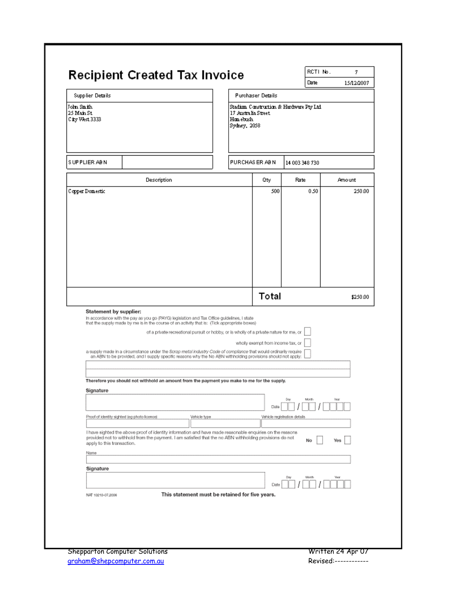|                                            | <b>Recipient Created Tax Invoice</b>                                                                                                                                                                                                                                                                                       |                                                  |                                   | Date                                     | 15/12/2007 |
|--------------------------------------------|----------------------------------------------------------------------------------------------------------------------------------------------------------------------------------------------------------------------------------------------------------------------------------------------------------------------------|--------------------------------------------------|-----------------------------------|------------------------------------------|------------|
| <b>Supplier Details</b>                    |                                                                                                                                                                                                                                                                                                                            |                                                  | <b>Purchaser Details</b>          |                                          |            |
| John Smith<br>25 Main St<br>City West 3333 |                                                                                                                                                                                                                                                                                                                            | 17 Australia Street<br>Hom ebush<br>Sydney, 2058 |                                   | Stadium Construction & Hardware Pty Ltd. |            |
| SUPPLIER ABN                               |                                                                                                                                                                                                                                                                                                                            |                                                  | PURCHAS ER AB N                   | 14 003 348 730                           |            |
|                                            | Description                                                                                                                                                                                                                                                                                                                |                                                  | Qty                               | Rate                                     | Amount     |
|                                            |                                                                                                                                                                                                                                                                                                                            |                                                  |                                   |                                          |            |
|                                            |                                                                                                                                                                                                                                                                                                                            |                                                  | Total                             |                                          | \$250.00   |
| Statement by supplier:                     | In accordance with the pay as you go (PAYG) legislation and Tax Office guidelines, I state<br>that the supply made by me is in the course of an activity that is: (Tick appropriate boxes)                                                                                                                                 |                                                  |                                   |                                          |            |
|                                            | of a private recreational pursuit or hobby, or is wholly of a private nature for me, or<br>a supply made in a circumstance under the Scrap metal industry Code of compliance that would ordinarily require<br>an ABN to be provided, and I supply specific reasons why the No ABN withholding provisions should not apply: |                                                  | wholly exempt from income tax, or |                                          |            |
| Signature                                  | Therefore you should not withhold an amount from the payment you make to me for the supply.                                                                                                                                                                                                                                |                                                  |                                   | Day<br>Month                             |            |
|                                            | Proof of identity sighted (eg photo licence)<br>Vehicle type                                                                                                                                                                                                                                                               |                                                  | Date                              | Vehicle registration details             |            |
| apply to this transaction.                 | I have sighted the above proof of identity information and have made reasonable enquiries on the reasons<br>provided not to withhold from the payment. I am satisfied that the no ABN withholding provisions do not                                                                                                        |                                                  |                                   | No                                       | Yes        |
| Name                                       |                                                                                                                                                                                                                                                                                                                            |                                                  |                                   |                                          |            |
| Signature                                  |                                                                                                                                                                                                                                                                                                                            |                                                  |                                   |                                          |            |
|                                            |                                                                                                                                                                                                                                                                                                                            |                                                  | Date                              | Day<br>Month                             |            |
| NAT 10210-07.2006                          | This statement must be retained for five years.                                                                                                                                                                                                                                                                            |                                                  |                                   |                                          |            |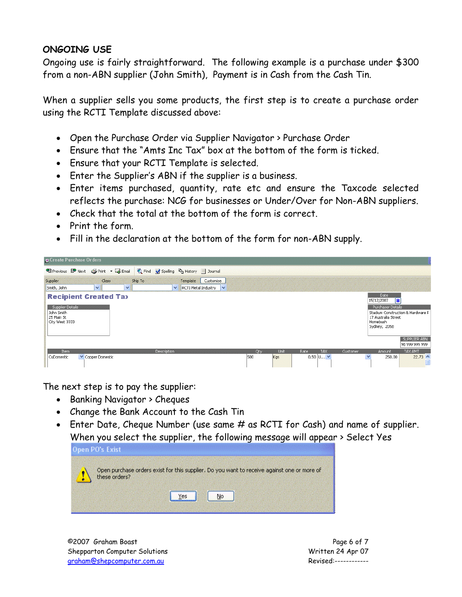## **ONGOING USE**

Ongoing use is fairly straightforward. The following example is a purchase under \$300 from a non-ABN supplier (John Smith), Payment is in Cash from the Cash Tin.

When a supplier sells you some products, the first step is to create a purchase order using the RCTI Template discussed above:

- Open the Purchase Order via Supplier Navigator > Purchase Order
- Ensure that the "Amts Inc Tax" box at the bottom of the form is ticked.
- Ensure that your RCTI Template is selected.
- Enter the Supplier's ABN if the supplier is a business.
- Enter items purchased, quantity, rate etc and ensure the Taxcode selected reflects the purchase: NCG for businesses or Under/Over for Non-ABN suppliers.
- Check that the total at the bottom of the form is correct.
- Print the form
- Fill in the declaration at the bottom of the form for non-ABN supply.



The next step is to pay the supplier:

- Banking Navigator > Cheques
- Change the Bank Account to the Cash Tin
- Enter Date, Cheque Number (use same # as RCTI for Cash) and name of supplier. When you select the supplier, the following message will appear > Select Yes

| Open PO's Exist                                                                                           |  |
|-----------------------------------------------------------------------------------------------------------|--|
| Open purchase orders exist for this supplier, Do you want to receive against one or more of these orders? |  |
| 'es                                                                                                       |  |

©2007 Graham Boast Page 6 of 7 Shepparton Computer Solutions **Matter Solutions** Written 24 Apr 07 graham@shepcomputer.com.au Revised:------------